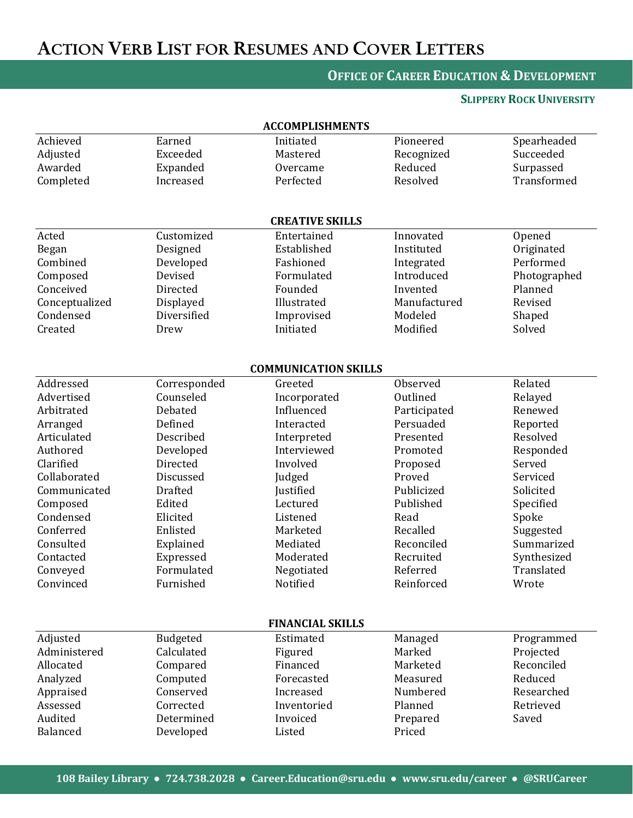# ACTION VERB LIST FOR RESUMES AND COVER LETTERS

### **OFFICE OF CAREER EDUCATION & DEVELOPMENT**

### **SLIPPERY ROCK UNIVERSITY**

| <b>ACCOMPLISHMENTS</b>      |                |              |              |              |  |  |  |  |
|-----------------------------|----------------|--------------|--------------|--------------|--|--|--|--|
| Achieved                    | Earned         | Initiated    | Pioneered    | Spearheaded  |  |  |  |  |
| Adjusted                    | Exceeded       | Mastered     | Recognized   | Succeeded    |  |  |  |  |
| Awarded                     | Expanded       | Overcame     | Reduced      | Surpassed    |  |  |  |  |
| Completed                   | Increased      | Perfected    | Resolved     | Transformed  |  |  |  |  |
|                             |                |              |              |              |  |  |  |  |
| <b>CREATIVE SKILLS</b>      |                |              |              |              |  |  |  |  |
| Acted                       | Customized     | Entertained  | Innovated    | Opened       |  |  |  |  |
| Began                       | Designed       | Established  | Instituted   | Originated   |  |  |  |  |
| Combined                    | Developed      | Fashioned    | Integrated   | Performed    |  |  |  |  |
| Composed                    | Devised        | Formulated   | Introduced   | Photographed |  |  |  |  |
| Conceived                   | Directed       | Founded      | Invented     | Planned      |  |  |  |  |
| Conceptualized              | Displayed      | Illustrated  | Manufactured | Revised      |  |  |  |  |
| Condensed                   | Diversified    | Improvised   | Modeled      | Shaped       |  |  |  |  |
| Created                     | Drew           | Initiated    | Modified     | Solved       |  |  |  |  |
|                             |                |              |              |              |  |  |  |  |
| <b>COMMUNICATION SKILLS</b> |                |              |              |              |  |  |  |  |
| Addressed                   | Corresponded   | Greeted      | Observed     | Related      |  |  |  |  |
| Advertised                  | Counseled      | Incorporated | Outlined     | Relayed      |  |  |  |  |
| Arbitrated                  | Debated        | Influenced   | Participated | Renewed      |  |  |  |  |
| Arranged                    | Defined        | Interacted   | Persuaded    | Reported     |  |  |  |  |
| Articulated                 | Described      | Interpreted  | Presented    | Resolved     |  |  |  |  |
| Authored                    | Developed      | Interviewed  | Promoted     | Responded    |  |  |  |  |
| Clarified                   | Directed       | Involved     | Proposed     | Served       |  |  |  |  |
| Collaborated                | Discussed      | Judged       | Proved       | Serviced     |  |  |  |  |
| Communicated                | <b>Drafted</b> | Justified    | Publicized   | Solicited    |  |  |  |  |
| Composed                    | Edited         | Lectured     | Published    | Specified    |  |  |  |  |
| Condensed                   | Elicited       | Listened     | Read         | Spoke        |  |  |  |  |
| Conferred                   | Enlisted       | Marketed     | Recalled     | Suggested    |  |  |  |  |
| Consulted                   | Explained      | Mediated     | Reconciled   | Summarized   |  |  |  |  |
| Contacted                   | Expressed      | Moderated    | Recruited    | Synthesized  |  |  |  |  |
| Conveyed                    | Formulated     | Negotiated   | Referred     | Translated   |  |  |  |  |
| Convinced                   | Furnished      | Notified     | Reinforced   | Wrote        |  |  |  |  |
|                             |                |              |              |              |  |  |  |  |
| <b>FINANCIAL SKILLS</b>     |                |              |              |              |  |  |  |  |
| Adjusted                    | Budgeted       | Estimated    | Managed      | Programmed   |  |  |  |  |
| Administered                | Calculated     | Figured      | Marked       | Projected    |  |  |  |  |
| Allocated                   | Compared       | Financed     | Marketed     | Reconciled   |  |  |  |  |
| Analyzed                    | Computed       | Forecasted   | Measured     | Reduced      |  |  |  |  |
| Appraised                   | Conserved      | Increased    | Numbered     | Researched   |  |  |  |  |
| Assessed                    | Corrected      | Inventoried  | Planned      | Retrieved    |  |  |  |  |
| Audited                     | Determined     | Invoiced     | Prepared     | Saved        |  |  |  |  |
| Balanced                    | Developed      | Listed       | Priced       |              |  |  |  |  |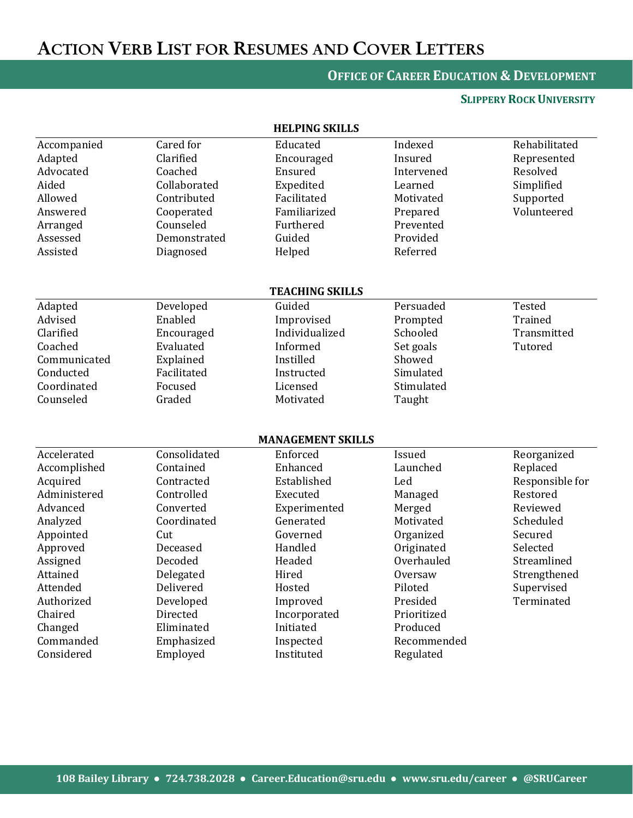# ACTION VERB LIST FOR RESUMES AND COVER LETTERS

## **OFFICE OF CAREER EDUCATION & DEVELOPMENT**

#### **SLIPPERY ROCK UNIVERSITY**

|              |              | NELFING ƏNILLƏ           |             |                 |
|--------------|--------------|--------------------------|-------------|-----------------|
| Accompanied  | Cared for    | Educated                 | Indexed     | Rehabilitated   |
| Adapted      | Clarified    | Encouraged               | Insured     | Represented     |
| Advocated    | Coached      | Ensured                  | Intervened  | Resolved        |
| Aided        | Collaborated | Expedited                | Learned     | Simplified      |
| Allowed      | Contributed  | Facilitated              | Motivated   | Supported       |
| Answered     | Cooperated   | Familiarized             | Prepared    | Volunteered     |
| Arranged     | Counseled    | Furthered                | Prevented   |                 |
| Assessed     | Demonstrated | Guided                   | Provided    |                 |
| Assisted     | Diagnosed    | Helped                   | Referred    |                 |
|              |              |                          |             |                 |
|              |              | <b>TEACHING SKILLS</b>   |             |                 |
| Adapted      | Developed    | Guided                   | Persuaded   | Tested          |
| Advised      | Enabled      | Improvised               | Prompted    | Trained         |
| Clarified    | Encouraged   | Individualized           | Schooled    | Transmitted     |
| Coached      | Evaluated    | Informed                 | Set goals   | Tutored         |
| Communicated | Explained    | Instilled                | Showed      |                 |
| Conducted    | Facilitated  | Instructed               | Simulated   |                 |
| Coordinated  | Focused      | Licensed                 | Stimulated  |                 |
| Counseled    | Graded       | Motivated                | Taught      |                 |
|              |              |                          |             |                 |
|              |              | <b>MANAGEMENT SKILLS</b> |             |                 |
| Accelerated  | Consolidated | Enforced                 | Issued      | Reorganized     |
| Accomplished | Contained    | Enhanced                 | Launched    | Replaced        |
| Acquired     | Contracted   | Established              | Led         | Responsible for |
| Administered | Controlled   | Executed                 | Managed     | Restored        |
| Advanced     | Converted    | Experimented             | Merged      | Reviewed        |
| Analyzed     | Coordinated  | Generated                | Motivated   | Scheduled       |
| Appointed    | Cut          | Governed                 | Organized   | Secured         |
| Approved     | Deceased     | Handled                  | Originated  | Selected        |
| Assigned     | Decoded      | Headed                   | Overhauled  | Streamlined     |
| Attained     | Delegated    | Hired                    | Oversaw     | Strengthened    |
| Attended     | Delivered    | Hosted                   | Piloted     | Supervised      |
| Authorized   | Developed    | Improved                 | Presided    | Terminated      |
| Chaired      | Directed     | Incorporated             | Prioritized |                 |
| Changed      | Eliminated   | Initiated                | Produced    |                 |
| Commanded    | Emphasized   | Inspected                | Recommended |                 |
| Considered   | Employed     | Instituted               | Regulated   |                 |
|              |              |                          |             |                 |

**HELPING SKILLS**